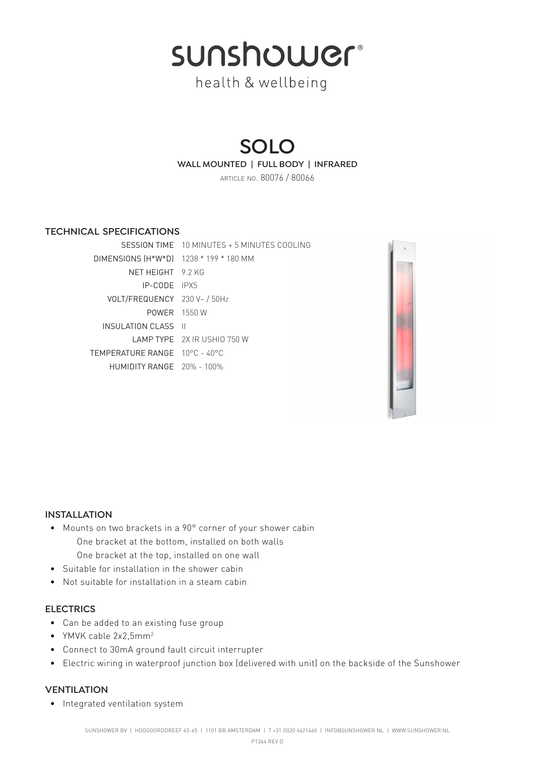sunshower®

health & wellbeing

# **SOLO**

**WALL MOUNTED | FULL BODY | INFRARED**

article no. 80076 / 80066

# **technical specifications**

|                                        | SESSION TIME 10 MINUTES + 5 MINUTES COOLING |
|----------------------------------------|---------------------------------------------|
| DIMENSIONS (H*W*D) 1238 * 199 * 180 MM |                                             |
| NFT HFIGHT 92KG                        |                                             |
| $IP-CODF$ $IPX5$                       |                                             |
| VOLT/FREQUENCY 230 V~ / 50Hz           |                                             |
| <b>POWER</b> 1550 W                    |                                             |
| INSULATION CLASS II                    |                                             |
|                                        | <b>I AMP TYPE</b> 2X IR USHIO 750 W         |
| TEMPERATURE RANGE 10°C - 40°C          |                                             |
| $HUMIDITY RANGE$ 20% - 100%            |                                             |



#### **installation**

- Mounts on two brackets in a 90° corner of your shower cabin One bracket at the bottom, installed on both walls One bracket at the top, installed on one wall
- Suitable for installation in the shower cabin
- Not suitable for installation in a steam cabin

## **electrics**

- Can be added to an existing fuse group
- YMVK cable 2x2.5mm<sup>2</sup>
- Connect to 30mA ground fault circuit interrupter
- Electric wiring in waterproof junction box (delivered with unit) on the backside of the Sunshower

## **ventilation**

• Integrated ventilation system